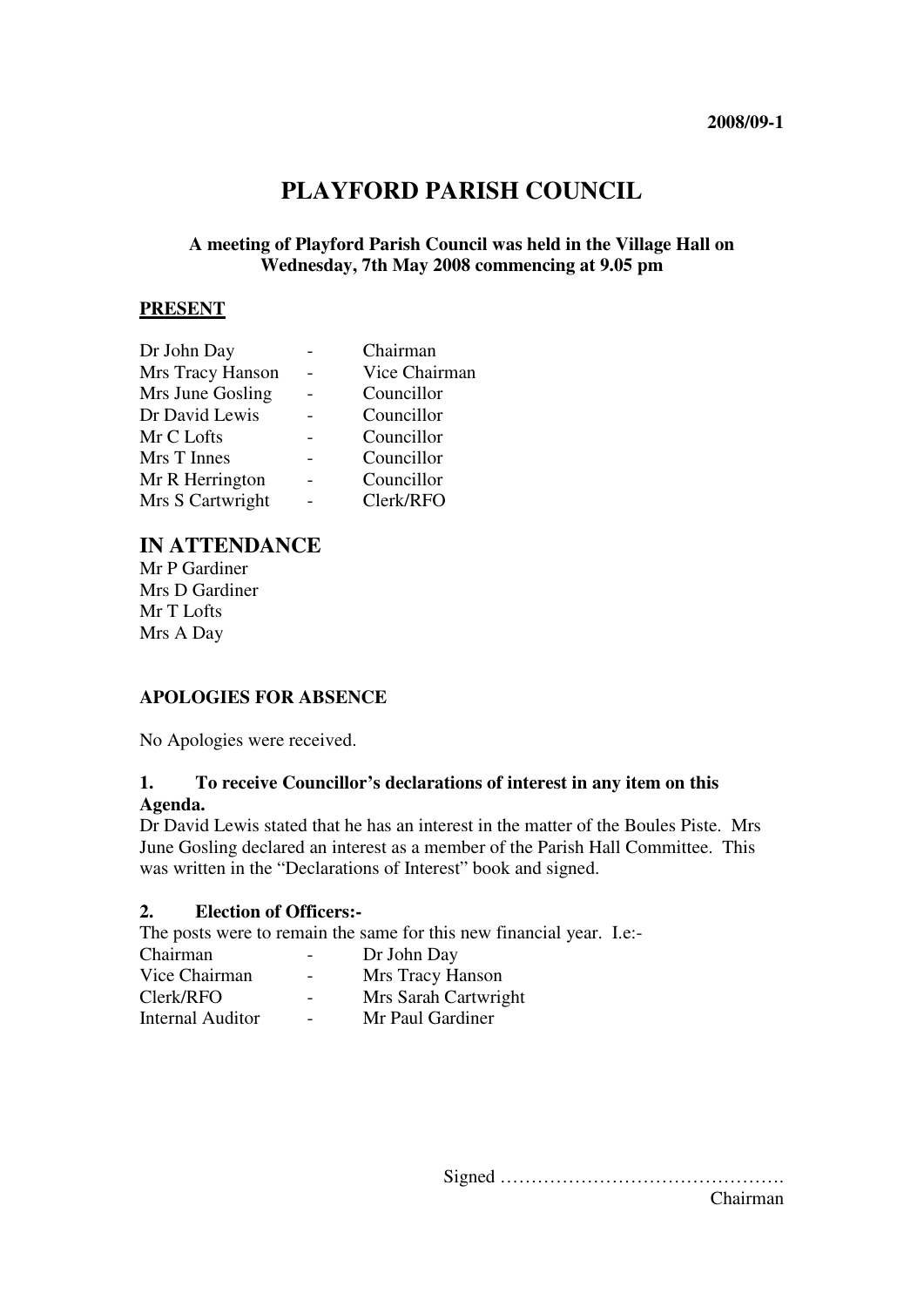# **PLAYFORD PARISH COUNCIL**

## **A meeting of Playford Parish Council was held in the Village Hall on Wednesday, 7th May 2008 commencing at 9.05 pm**

#### **PRESENT**

| Dr John Day      | Chairman      |
|------------------|---------------|
| Mrs Tracy Hanson | Vice Chairman |
| Mrs June Gosling | Councillor    |
| Dr David Lewis   | Councillor    |
| Mr C Lofts       | Councillor    |
| Mrs T Innes      | Councillor    |
| Mr R Herrington  | Councillor    |
| Mrs S Cartwright | Clerk/RFO     |
|                  |               |

## **IN ATTENDANCE**

Mr P Gardiner Mrs D Gardiner Mr T Lofts Mrs A Day

## **APOLOGIES FOR ABSENCE**

No Apologies were received.

#### **1. To receive Councillor's declarations of interest in any item on this Agenda.**

Dr David Lewis stated that he has an interest in the matter of the Boules Piste. Mrs June Gosling declared an interest as a member of the Parish Hall Committee. This was written in the "Declarations of Interest" book and signed.

#### **2. Election of Officers:-**

The posts were to remain the same for this new financial year. I.e:-

|                          | Dr John Day          |
|--------------------------|----------------------|
| $\overline{\phantom{0}}$ | Mrs Tracy Hanson     |
| $\overline{\phantom{a}}$ | Mrs Sarah Cartwright |
| $\overline{\phantom{0}}$ | Mr Paul Gardiner     |
|                          |                      |

Signed ………………………………………. Chairman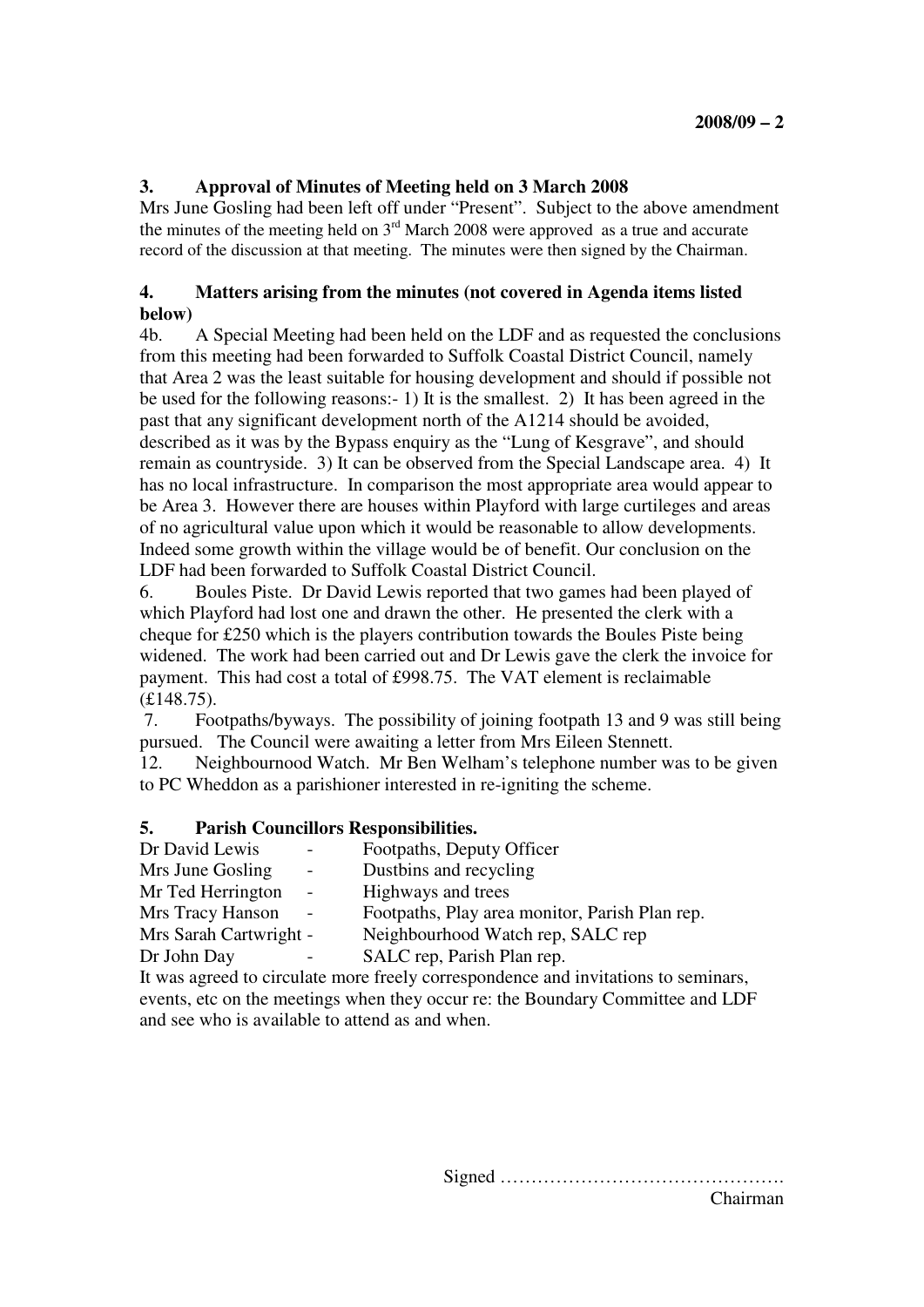## **3. Approval of Minutes of Meeting held on 3 March 2008**

Mrs June Gosling had been left off under "Present". Subject to the above amendment the minutes of the meeting held on  $3<sup>rd</sup>$  March 2008 were approved as a true and accurate record of the discussion at that meeting. The minutes were then signed by the Chairman.

## **4. Matters arising from the minutes (not covered in Agenda items listed below)**

4b. A Special Meeting had been held on the LDF and as requested the conclusions from this meeting had been forwarded to Suffolk Coastal District Council, namely that Area 2 was the least suitable for housing development and should if possible not be used for the following reasons:- 1) It is the smallest. 2) It has been agreed in the past that any significant development north of the A1214 should be avoided, described as it was by the Bypass enquiry as the "Lung of Kesgrave", and should remain as countryside. 3) It can be observed from the Special Landscape area. 4) It has no local infrastructure. In comparison the most appropriate area would appear to be Area 3. However there are houses within Playford with large curtileges and areas of no agricultural value upon which it would be reasonable to allow developments. Indeed some growth within the village would be of benefit. Our conclusion on the LDF had been forwarded to Suffolk Coastal District Council.

6. Boules Piste. Dr David Lewis reported that two games had been played of which Playford had lost one and drawn the other. He presented the clerk with a cheque for £250 which is the players contribution towards the Boules Piste being widened. The work had been carried out and Dr Lewis gave the clerk the invoice for payment. This had cost a total of £998.75. The VAT element is reclaimable (£148.75).

 7. Footpaths/byways. The possibility of joining footpath 13 and 9 was still being pursued. The Council were awaiting a letter from Mrs Eileen Stennett.

12. Neighbournood Watch. Mr Ben Welham's telephone number was to be given to PC Wheddon as a parishioner interested in re-igniting the scheme.

#### **5. Parish Councillors Responsibilities.**

| Dr David Lewis                                | Footpaths, Deputy Officer                                                                                                                                                                                                          |
|-----------------------------------------------|------------------------------------------------------------------------------------------------------------------------------------------------------------------------------------------------------------------------------------|
| Mrs June Gosling<br>$\overline{\phantom{a}}$  | Dustbins and recycling                                                                                                                                                                                                             |
| Mr Ted Herrington<br>$\overline{\phantom{a}}$ | Highways and trees                                                                                                                                                                                                                 |
| Mrs Tracy Hanson                              | Footpaths, Play area monitor, Parish Plan rep.                                                                                                                                                                                     |
| Mrs Sarah Cartwright -                        | Neighbourhood Watch rep, SALC rep                                                                                                                                                                                                  |
| Dr John Day                                   | SALC rep, Parish Plan rep.                                                                                                                                                                                                         |
|                                               | $\mathcal{C}$ and the set of the set of the set of the set of the set of the set of the set of the set of the set of the set of the set of the set of the set of the set of the set of the set of the set of the set of the set of |

It was agreed to circulate more freely correspondence and invitations to seminars, events, etc on the meetings when they occur re: the Boundary Committee and LDF and see who is available to attend as and when.